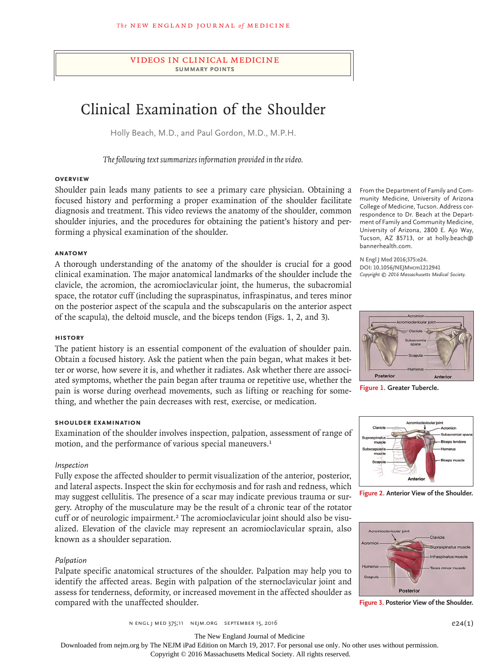# videos in clinical medicine **summary points**

# Clinical Examination of the Shoulder

Holly Beach, M.D., and Paul Gordon, M.D., M.P.H.

*The following text summarizes information provided in the video.*

#### **Overview**

Shoulder pain leads many patients to see a primary care physician. Obtaining a focused history and performing a proper examination of the shoulder facilitate diagnosis and treatment. This video reviews the anatomy of the shoulder, common shoulder injuries, and the procedures for obtaining the patient's history and performing a physical examination of the shoulder.

#### **Anatomy**

A thorough understanding of the anatomy of the shoulder is crucial for a good clinical examination. The major anatomical landmarks of the shoulder include the clavicle, the acromion, the acromioclavicular joint, the humerus, the subacromial space, the rotator cuff (including the supraspinatus, infraspinatus, and teres minor on the posterior aspect of the scapula and the subscapularis on the anterior aspect of the scapula), the deltoid muscle, and the biceps tendon (Figs. 1, 2, and 3).

#### **History**

The patient history is an essential component of the evaluation of shoulder pain. Obtain a focused history. Ask the patient when the pain began, what makes it better or worse, how severe it is, and whether it radiates. Ask whether there are associated symptoms, whether the pain began after trauma or repetitive use, whether the pain is worse during overhead movements, such as lifting or reaching for something, and whether the pain decreases with rest, exercise, or medication.

#### **Shoulder Examination**

Examination of the shoulder involves inspection, palpation, assessment of range of motion, and the performance of various special maneuvers.<sup>1</sup>

#### *Inspection*

Fully expose the affected shoulder to permit visualization of the anterior, posterior, and lateral aspects. Inspect the skin for ecchymosis and for rash and redness, which may suggest cellulitis. The presence of a scar may indicate previous trauma or surgery. Atrophy of the musculature may be the result of a chronic tear of the rotator cuff or of neurologic impairment.2 The acromioclavicular joint should also be visualized. Elevation of the clavicle may represent an acromioclavicular sprain, also known as a shoulder separation.

# *Palpation*

Palpate specific anatomical structures of the shoulder. Palpation may help you to identify the affected areas. Begin with palpation of the sternoclavicular joint and assess for tenderness, deformity, or increased movement in the affected shoulder as compared with the unaffected shoulder.

From the Department of Family and Community Medicine, University of Arizona College of Medicine, Tucson. Address correspondence to Dr. Beach at the Department of Family and Community Medicine, University of Arizona, 2800 E. Ajo Way, Tucson, AZ 85713, or at holly.beach@ bannerhealth.com.

**N Engl J Med 2016;375:e24. DOI: 10.1056/NEJMvcm1212941** *Copyright © 2016 Massachusetts Medical Society.*



**Figure 1. Greater Tubercle.**



**Figure 2. Anterior View of the Shoulder.**



**Figure 3. Posterior View of the Shoulder.**

The New England Journal of Medicine

Downloaded from nejm.org by The NEJM iPad Edition on March 19, 2017. For personal use only. No other uses without permission.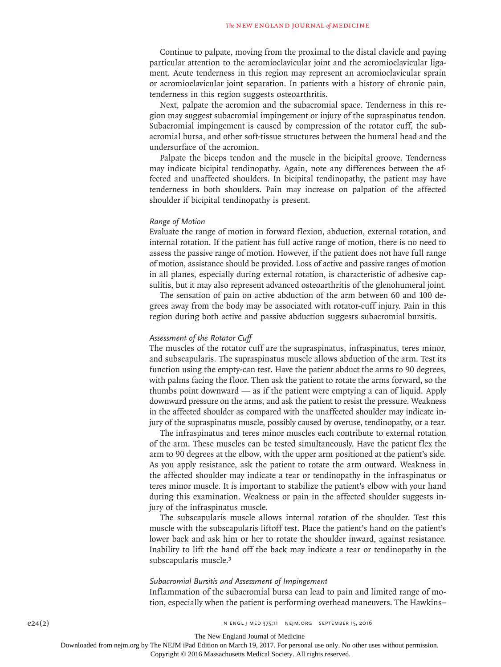Continue to palpate, moving from the proximal to the distal clavicle and paying particular attention to the acromioclavicular joint and the acromioclavicular ligament. Acute tenderness in this region may represent an acromioclavicular sprain or acromioclavicular joint separation. In patients with a history of chronic pain, tenderness in this region suggests osteoarthritis.

Next, palpate the acromion and the subacromial space. Tenderness in this region may suggest subacromial impingement or injury of the supraspinatus tendon. Subacromial impingement is caused by compression of the rotator cuff, the subacromial bursa, and other soft-tissue structures between the humeral head and the undersurface of the acromion.

Palpate the biceps tendon and the muscle in the bicipital groove. Tenderness may indicate bicipital tendinopathy. Again, note any differences between the affected and unaffected shoulders. In bicipital tendinopathy, the patient may have tenderness in both shoulders. Pain may increase on palpation of the affected shoulder if bicipital tendinopathy is present.

#### *Range of Motion*

Evaluate the range of motion in forward flexion, abduction, external rotation, and internal rotation. If the patient has full active range of motion, there is no need to assess the passive range of motion. However, if the patient does not have full range of motion, assistance should be provided. Loss of active and passive ranges of motion in all planes, especially during external rotation, is characteristic of adhesive capsulitis, but it may also represent advanced osteoarthritis of the glenohumeral joint.

The sensation of pain on active abduction of the arm between 60 and 100 degrees away from the body may be associated with rotator-cuff injury. Pain in this region during both active and passive abduction suggests subacromial bursitis.

# *Assessment of the Rotator Cuff*

The muscles of the rotator cuff are the supraspinatus, infraspinatus, teres minor, and subscapularis. The supraspinatus muscle allows abduction of the arm. Test its function using the empty-can test. Have the patient abduct the arms to 90 degrees, with palms facing the floor. Then ask the patient to rotate the arms forward, so the thumbs point downward — as if the patient were emptying a can of liquid. Apply downward pressure on the arms, and ask the patient to resist the pressure. Weakness in the affected shoulder as compared with the unaffected shoulder may indicate injury of the supraspinatus muscle, possibly caused by overuse, tendinopathy, or a tear.

The infraspinatus and teres minor muscles each contribute to external rotation of the arm. These muscles can be tested simultaneously. Have the patient flex the arm to 90 degrees at the elbow, with the upper arm positioned at the patient's side. As you apply resistance, ask the patient to rotate the arm outward. Weakness in the affected shoulder may indicate a tear or tendinopathy in the infraspinatus or teres minor muscle. It is important to stabilize the patient's elbow with your hand during this examination. Weakness or pain in the affected shoulder suggests injury of the infraspinatus muscle.

The subscapularis muscle allows internal rotation of the shoulder. Test this muscle with the subscapularis liftoff test. Place the patient's hand on the patient's lower back and ask him or her to rotate the shoulder inward, against resistance. Inability to lift the hand off the back may indicate a tear or tendinopathy in the subscapularis muscle.<sup>3</sup>

#### *Subacromial Bursitis and Assessment of Impingement*

Inflammation of the subacromial bursa can lead to pain and limited range of motion, especially when the patient is performing overhead maneuvers. The Hawkins–

The New England Journal of Medicine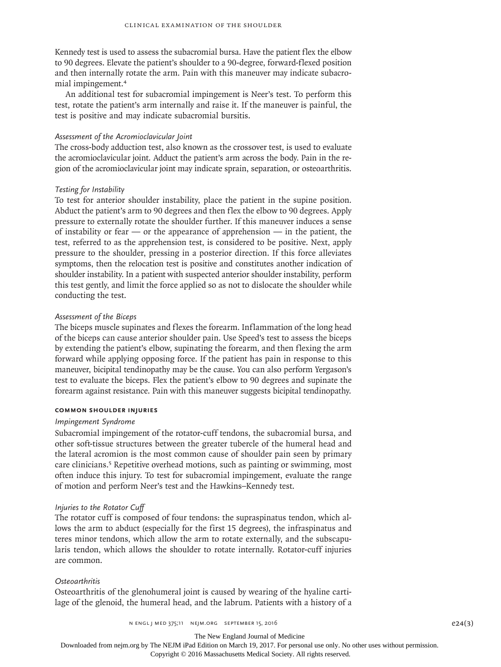Kennedy test is used to assess the subacromial bursa. Have the patient flex the elbow to 90 degrees. Elevate the patient's shoulder to a 90-degree, forward-flexed position and then internally rotate the arm. Pain with this maneuver may indicate subacromial impingement.<sup>4</sup>

An additional test for subacromial impingement is Neer's test. To perform this test, rotate the patient's arm internally and raise it. If the maneuver is painful, the test is positive and may indicate subacromial bursitis.

#### *Assessment of the Acromioclavicular Joint*

The cross-body adduction test, also known as the crossover test, is used to evaluate the acromioclavicular joint. Adduct the patient's arm across the body. Pain in the region of the acromioclavicular joint may indicate sprain, separation, or osteoarthritis.

# *Testing for Instability*

To test for anterior shoulder instability, place the patient in the supine position. Abduct the patient's arm to 90 degrees and then flex the elbow to 90 degrees. Apply pressure to externally rotate the shoulder further. If this maneuver induces a sense of instability or fear — or the appearance of apprehension — in the patient, the test, referred to as the apprehension test, is considered to be positive. Next, apply pressure to the shoulder, pressing in a posterior direction. If this force alleviates symptoms, then the relocation test is positive and constitutes another indication of shoulder instability. In a patient with suspected anterior shoulder instability, perform this test gently, and limit the force applied so as not to dislocate the shoulder while conducting the test.

# *Assessment of the Biceps*

The biceps muscle supinates and flexes the forearm. Inflammation of the long head of the biceps can cause anterior shoulder pain. Use Speed's test to assess the biceps by extending the patient's elbow, supinating the forearm, and then flexing the arm forward while applying opposing force. If the patient has pain in response to this maneuver, bicipital tendinopathy may be the cause. You can also perform Yergason's test to evaluate the biceps. Flex the patient's elbow to 90 degrees and supinate the forearm against resistance. Pain with this maneuver suggests bicipital tendinopathy.

# **Common Shoulder Injuries**

# *Impingement Syndrome*

Subacromial impingement of the rotator-cuff tendons, the subacromial bursa, and other soft-tissue structures between the greater tubercle of the humeral head and the lateral acromion is the most common cause of shoulder pain seen by primary care clinicians.5 Repetitive overhead motions, such as painting or swimming, most often induce this injury. To test for subacromial impingement, evaluate the range of motion and perform Neer's test and the Hawkins–Kennedy test.

#### *Injuries to the Rotator Cuff*

The rotator cuff is composed of four tendons: the supraspinatus tendon, which allows the arm to abduct (especially for the first 15 degrees), the infraspinatus and teres minor tendons, which allow the arm to rotate externally, and the subscapularis tendon, which allows the shoulder to rotate internally. Rotator-cuff injuries are common.

#### *Osteoarthritis*

Osteoarthritis of the glenohumeral joint is caused by wearing of the hyaline cartilage of the glenoid, the humeral head, and the labrum. Patients with a history of a

The New England Journal of Medicine

Downloaded from nejm.org by The NEJM iPad Edition on March 19, 2017. For personal use only. No other uses without permission.